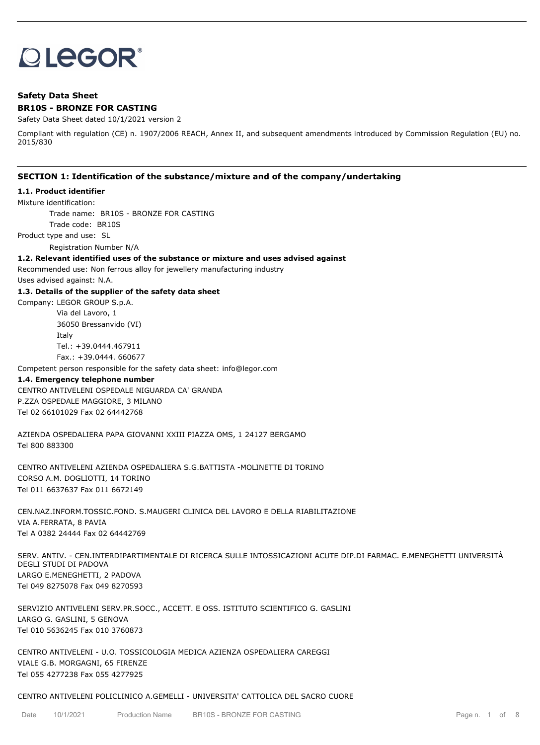# **OLEGOR®**

# **Safety Data Sheet BR10S - BRONZE FOR CASTING**

Safety Data Sheet dated 10/1/2021 version 2

Compliant with regulation (CE) n. 1907/2006 REACH, Annex II, and subsequent amendments introduced by Commission Regulation (EU) no. 2015/830

# **SECTION 1: Identification of the substance/mixture and of the company/undertaking**

#### **1.1. Product identifier**

Mixture identification:

Trade name: BR10S - BRONZE FOR CASTING

Trade code: BR10S

Product type and use: SL

Registration Number N/A

#### **1.2. Relevant identified uses of the substance or mixture and uses advised against**

Recommended use: Non ferrous alloy for jewellery manufacturing industry

Uses advised against: N.A.

#### **1.3. Details of the supplier of the safety data sheet**

Company: LEGOR GROUP S.p.A. Via del Lavoro, 1 36050 Bressanvido (VI) Italy Tel.: +39.0444.467911 Fax.: +39.0444. 660677

Competent person responsible for the safety data sheet: info@legor.com

#### **1.4. Emergency telephone number**

CENTRO ANTIVELENI OSPEDALE NIGUARDA CA' GRANDA P.ZZA OSPEDALE MAGGIORE, 3 MILANO Tel 02 66101029 Fax 02 64442768

AZIENDA OSPEDALIERA PAPA GIOVANNI XXIII PIAZZA OMS, 1 24127 BERGAMO Tel 800 883300

CENTRO ANTIVELENI AZIENDA OSPEDALIERA S.G.BATTISTA -MOLINETTE DI TORINO CORSO A.M. DOGLIOTTI, 14 TORINO Tel 011 6637637 Fax 011 6672149

CEN.NAZ.INFORM.TOSSIC.FOND. S.MAUGERI CLINICA DEL LAVORO E DELLA RIABILITAZIONE VIA A.FERRATA, 8 PAVIA Tel A 0382 24444 Fax 02 64442769

SERV. ANTIV. - CEN.INTERDIPARTIMENTALE DI RICERCA SULLE INTOSSICAZIONI ACUTE DIP.DI FARMAC. E.MENEGHETTI UNIVERSITÀ DEGLI STUDI DI PADOVA LARGO E.MENEGHETTI, 2 PADOVA Tel 049 8275078 Fax 049 8270593

SERVIZIO ANTIVELENI SERV.PR.SOCC., ACCETT. E OSS. ISTITUTO SCIENTIFICO G. GASLINI LARGO G. GASLINI, 5 GENOVA Tel 010 5636245 Fax 010 3760873

CENTRO ANTIVELENI - U.O. TOSSICOLOGIA MEDICA AZIENZA OSPEDALIERA CAREGGI VIALE G.B. MORGAGNI, 65 FIRENZE Tel 055 4277238 Fax 055 4277925

#### CENTRO ANTIVELENI POLICLINICO A.GEMELLI - UNIVERSITA' CATTOLICA DEL SACRO CUORE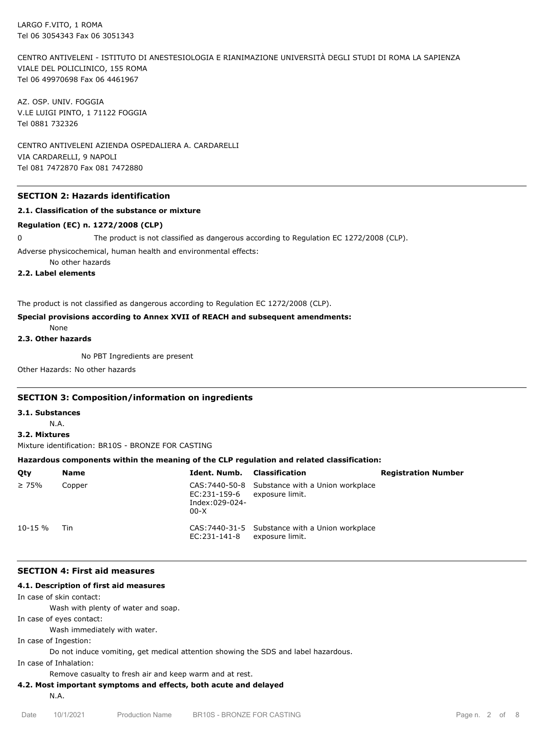LARGO F.VITO, 1 ROMA Tel 06 3054343 Fax 06 3051343

CENTRO ANTIVELENI - ISTITUTO DI ANESTESIOLOGIA E RIANIMAZIONE UNIVERSITÀ DEGLI STUDI DI ROMA LA SAPIENZA VIALE DEL POLICLINICO, 155 ROMA Tel 06 49970698 Fax 06 4461967

AZ. OSP. UNIV. FOGGIA V.LE LUIGI PINTO, 1 71122 FOGGIA Tel 0881 732326

CENTRO ANTIVELENI AZIENDA OSPEDALIERA A. CARDARELLI VIA CARDARELLI, 9 NAPOLI Tel 081 7472870 Fax 081 7472880

#### **SECTION 2: Hazards identification**

#### **2.1. Classification of the substance or mixture**

#### **Regulation (EC) n. 1272/2008 (CLP)**

0 The product is not classified as dangerous according to Regulation EC 1272/2008 (CLP).

Adverse physicochemical, human health and environmental effects:

No other hazards

**2.2. Label elements**

The product is not classified as dangerous according to Regulation EC 1272/2008 (CLP).

#### **Special provisions according to Annex XVII of REACH and subsequent amendments:**

None

# **2.3. Other hazards**

No PBT Ingredients are present

Other Hazards: No other hazards

#### **SECTION 3: Composition/information on ingredients**

#### **3.1. Substances**

N.A.

## **3.2. Mixtures**

Mixture identification: BR10S - BRONZE FOR CASTING

#### **Hazardous components within the meaning of the CLP regulation and related classification:**

| Qty          | <b>Name</b> | <b>Ident, Numb.</b> Classification                       |                                                                    | <b>Registration Number</b> |
|--------------|-------------|----------------------------------------------------------|--------------------------------------------------------------------|----------------------------|
| $\geq 75\%$  | Copper      | EC:231-159-6 exposure limit.<br>Index:029-024-<br>$00-X$ | CAS: 7440-50-8 Substance with a Union workplace                    |                            |
| $10 - 15 \%$ | <b>Tin</b>  | EC:231-141-8                                             | CAS: 7440-31-5 Substance with a Union workplace<br>exposure limit. |                            |

#### **SECTION 4: First aid measures**

#### **4.1. Description of first aid measures**

In case of skin contact:

Wash with plenty of water and soap.

In case of eyes contact:

Wash immediately with water.

In case of Ingestion:

Do not induce vomiting, get medical attention showing the SDS and label hazardous.

In case of Inhalation:

Remove casualty to fresh air and keep warm and at rest.

#### **4.2. Most important symptoms and effects, both acute and delayed**

N.A.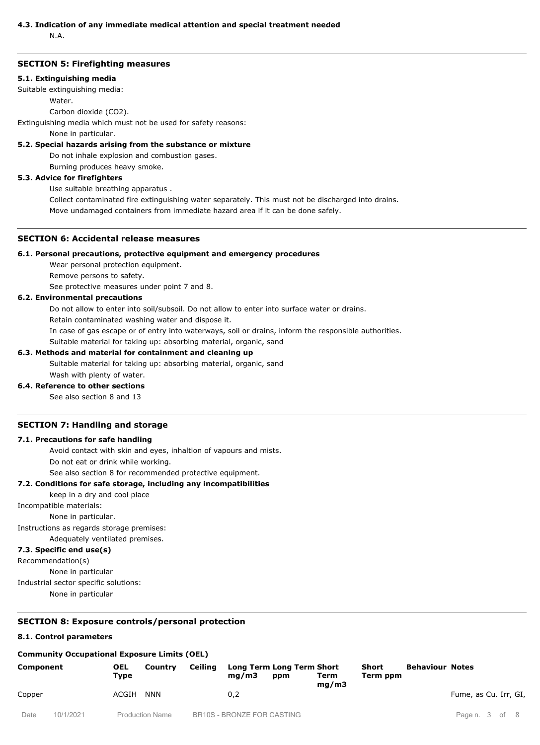# **4.3. Indication of any immediate medical attention and special treatment needed**

N.A.

## **SECTION 5: Firefighting measures**

#### **5.1. Extinguishing media**

Suitable extinguishing media:

Water.

Carbon dioxide (CO2).

Extinguishing media which must not be used for safety reasons:

None in particular.

# **5.2. Special hazards arising from the substance or mixture**

Do not inhale explosion and combustion gases.

Burning produces heavy smoke.

# **5.3. Advice for firefighters**

Use suitable breathing apparatus .

Collect contaminated fire extinguishing water separately. This must not be discharged into drains.

Move undamaged containers from immediate hazard area if it can be done safely.

# **SECTION 6: Accidental release measures**

## **6.1. Personal precautions, protective equipment and emergency procedures**

Wear personal protection equipment.

Remove persons to safety.

See protective measures under point 7 and 8.

## **6.2. Environmental precautions**

Do not allow to enter into soil/subsoil. Do not allow to enter into surface water or drains.

Retain contaminated washing water and dispose it.

In case of gas escape or of entry into waterways, soil or drains, inform the responsible authorities.

Suitable material for taking up: absorbing material, organic, sand

# **6.3. Methods and material for containment and cleaning up**

Suitable material for taking up: absorbing material, organic, sand

Wash with plenty of water.

**6.4. Reference to other sections**

See also section 8 and 13

# **SECTION 7: Handling and storage**

#### **7.1. Precautions for safe handling**

Avoid contact with skin and eyes, inhaltion of vapours and mists.

Do not eat or drink while working.

See also section 8 for recommended protective equipment.

#### **7.2. Conditions for safe storage, including any incompatibilities**

keep in a dry and cool place

Incompatible materials:

None in particular.

Instructions as regards storage premises:

Adequately ventilated premises.

# **7.3. Specific end use(s)**

Recommendation(s)

None in particular

Industrial sector specific solutions:

None in particular

# **SECTION 8: Exposure controls/personal protection**

# **8.1. Control parameters**

# **Community Occupational Exposure Limits (OEL)**

| Component |           | <b>OEL</b><br>Tvpe     | Ceiling<br>Country | Long Term Long Term Short<br>ma/m3<br>ppm | Term                       | Short<br>Term ppm | <b>Behaviour Notes</b> |  |  |                       |
|-----------|-----------|------------------------|--------------------|-------------------------------------------|----------------------------|-------------------|------------------------|--|--|-----------------------|
| Copper    |           | ACGIH<br><b>NNN</b>    |                    |                                           | 0,2                        |                   | mq/m3                  |  |  | Fume, as Cu. Irr, GI, |
| Date      | 10/1/2021 | <b>Production Name</b> |                    |                                           | BR10S - BRONZE FOR CASTING |                   |                        |  |  | Page n. 3 of 8        |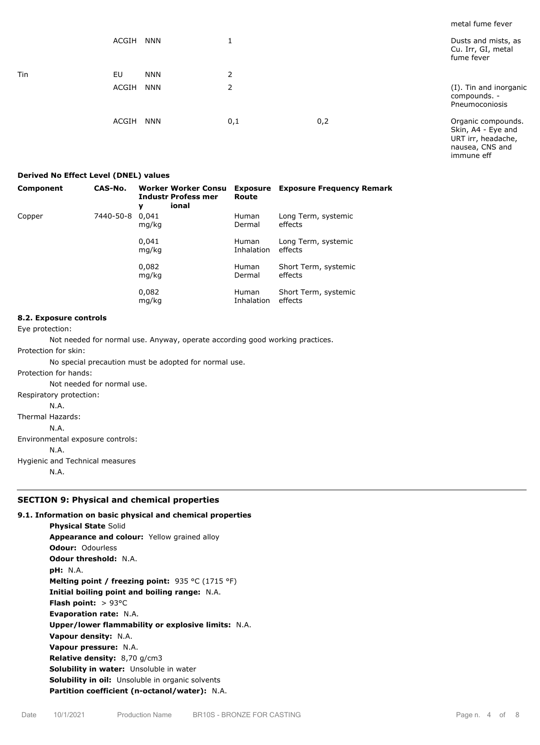| . .        |                     |     |     | metal fume fever                                               |
|------------|---------------------|-----|-----|----------------------------------------------------------------|
|            | ACGIH<br><b>NNN</b> |     |     | Dusts and mists, as<br>Cu. Irr, GI, metal<br>fume fever        |
| <b>Tin</b> | EU<br><b>NNN</b>    | 2   |     |                                                                |
|            | ACGIH<br><b>NNN</b> | 2   |     | (I). Tin and inorganic<br>compounds. -<br>Pneumoconiosis       |
|            | ACGIH<br><b>NNN</b> | 0,1 | 0,2 | Organic compounds.<br>Skin, A4 - Eye and<br>URT irr, headache, |

#### **Derived No Effect Level (DNEL) values**

| <b>Component</b> | CAS-No.   | Worker Worker Consu<br><b>Industr Profess mer</b><br>ional<br>y | Route                      | <b>Exposure</b> Exposure Frequency Remark |
|------------------|-----------|-----------------------------------------------------------------|----------------------------|-------------------------------------------|
| Copper           | 7440-50-8 | 0.041<br>mg/kg                                                  | <b>Human</b><br>Dermal     | Long Term, systemic<br>effects            |
|                  |           | 0,041<br>mg/kg                                                  | <b>Human</b><br>Inhalation | Long Term, systemic<br>effects            |
|                  |           | 0,082<br>mg/kg                                                  | <b>Human</b><br>Dermal     | Short Term, systemic<br>effects           |
|                  |           | 0,082<br>mg/kg                                                  | <b>Human</b><br>Inhalation | Short Term, systemic<br>effects           |

#### **8.2. Exposure controls**

Eye protection:

Not needed for normal use. Anyway, operate according good working practices.

Protection for skin:

No special precaution must be adopted for normal use.

Protection for hands:

Not needed for normal use.

Respiratory protection:

N.A.

Thermal Hazards:

N.A.

Environmental exposure controls:

N.A.

Hygienic and Technical measures

N.A.

# **SECTION 9: Physical and chemical properties**

# **9.1. Information on basic physical and chemical properties**

**Physical State** Solid **Appearance and colour:** Yellow grained alloy **Odour:** Odourless **Odour threshold:** N.A. **pH:** N.A. **Melting point / freezing point:** 935 °C (1715 °F) **Initial boiling point and boiling range:** N.A. **Flash point:** > 93°C **Evaporation rate:** N.A. **Upper/lower flammability or explosive limits:** N.A. **Vapour density:** N.A. **Vapour pressure:** N.A. **Relative density:** 8,70 g/cm3 **Solubility in water:** Unsoluble in water **Solubility in oil:** Unsoluble in organic solvents **Partition coefficient (n-octanol/water):** N.A.

nausea, CNS and immune eff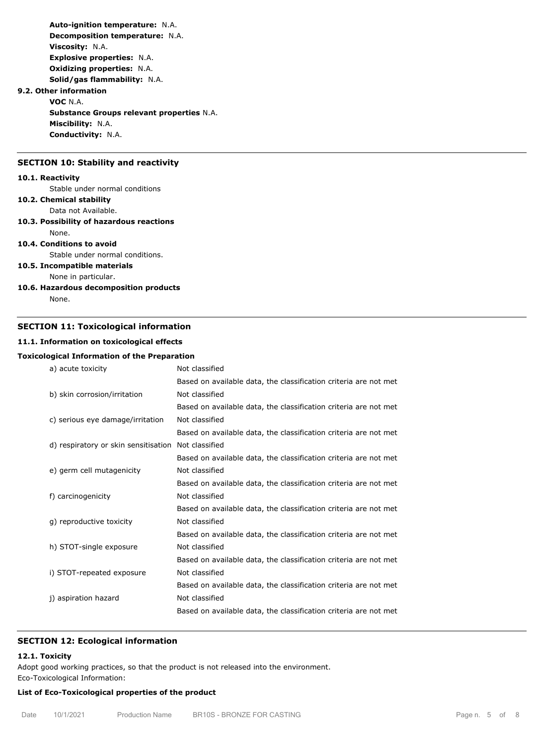**Auto-ignition temperature:** N.A. **Decomposition temperature:** N.A. **Viscosity:** N.A. **Explosive properties:** N.A. **Oxidizing properties:** N.A. **Solid/gas flammability:** N.A. **9.2. Other information VOC** N.A.

**Substance Groups relevant properties** N.A. **Miscibility:** N.A. **Conductivity:** N.A.

# **SECTION 10: Stability and reactivity**

#### **10.1. Reactivity**

Stable under normal conditions

# **10.2. Chemical stability**

Data not Available.

# **10.3. Possibility of hazardous reactions**

None.

# **10.4. Conditions to avoid**

Stable under normal conditions.

# **10.5. Incompatible materials**

None in particular.

**10.6. Hazardous decomposition products** None.

# **SECTION 11: Toxicological information**

# **11.1. Information on toxicological effects**

#### **Toxicological Information of the Preparation**

| a) acute toxicity                    | Not classified                                                   |
|--------------------------------------|------------------------------------------------------------------|
|                                      | Based on available data, the classification criteria are not met |
| b) skin corrosion/irritation         | Not classified                                                   |
|                                      | Based on available data, the classification criteria are not met |
| c) serious eye damage/irritation     | Not classified                                                   |
|                                      | Based on available data, the classification criteria are not met |
| d) respiratory or skin sensitisation | Not classified                                                   |
|                                      | Based on available data, the classification criteria are not met |
| e) germ cell mutagenicity            | Not classified                                                   |
|                                      | Based on available data, the classification criteria are not met |
| f) carcinogenicity                   | Not classified                                                   |
|                                      | Based on available data, the classification criteria are not met |
| g) reproductive toxicity             | Not classified                                                   |
|                                      | Based on available data, the classification criteria are not met |
| h) STOT-single exposure              | Not classified                                                   |
|                                      | Based on available data, the classification criteria are not met |
| i) STOT-repeated exposure            | Not classified                                                   |
|                                      | Based on available data, the classification criteria are not met |
| j) aspiration hazard                 | Not classified                                                   |
|                                      | Based on available data, the classification criteria are not met |
|                                      |                                                                  |

## **SECTION 12: Ecological information**

#### **12.1. Toxicity**

Adopt good working practices, so that the product is not released into the environment. Eco-Toxicological Information:

#### **List of Eco-Toxicological properties of the product**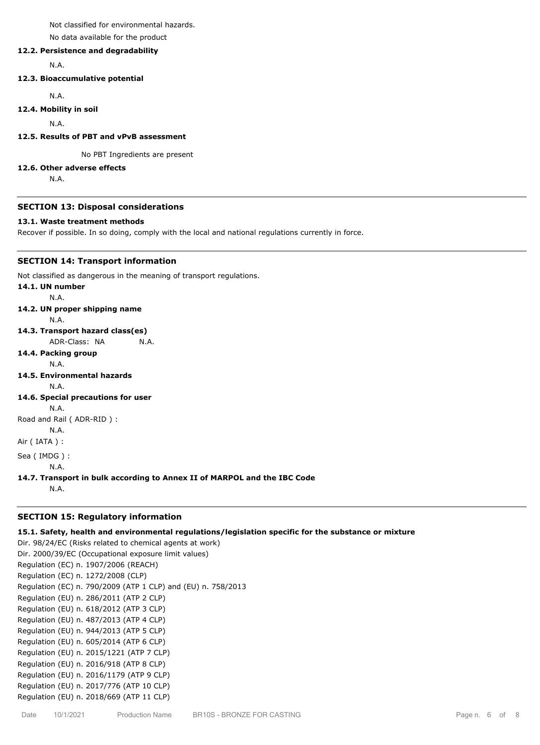Not classified for environmental hazards.

No data available for the product

## **12.2. Persistence and degradability**

N.A.

#### **12.3. Bioaccumulative potential**

N.A.

#### **12.4. Mobility in soil**

N.A.

#### **12.5. Results of PBT and vPvB assessment**

No PBT Ingredients are present

#### **12.6. Other adverse effects**

N.A.

#### **SECTION 13: Disposal considerations**

#### **13.1. Waste treatment methods**

Recover if possible. In so doing, comply with the local and national regulations currently in force.

## **SECTION 14: Transport information**

Not classified as dangerous in the meaning of transport regulations.

# **14.1. UN number** N.A. **14.2. UN proper shipping name**

- N.A.
- **14.3. Transport hazard class(es)**

ADR-Class: NA N.A.

# **14.4. Packing group**

N.A.

**14.5. Environmental hazards** N.A.

- **14.6. Special precautions for user**
- N.A.

Road and Rail ( ADR-RID ) :

```
N.A.
```
Air ( IATA ) :

Sea ( IMDG ) :

N.A.

**14.7. Transport in bulk according to Annex II of MARPOL and the IBC Code**

N.A.

# **SECTION 15: Regulatory information**

# **15.1. Safety, health and environmental regulations/legislation specific for the substance or mixture**

Dir. 98/24/EC (Risks related to chemical agents at work) Dir. 2000/39/EC (Occupational exposure limit values) Regulation (EC) n. 1907/2006 (REACH) Regulation (EC) n. 1272/2008 (CLP) Regulation (EC) n. 790/2009 (ATP 1 CLP) and (EU) n. 758/2013 Regulation (EU) n. 286/2011 (ATP 2 CLP) Regulation (EU) n. 618/2012 (ATP 3 CLP) Regulation (EU) n. 487/2013 (ATP 4 CLP) Regulation (EU) n. 944/2013 (ATP 5 CLP) Regulation (EU) n. 605/2014 (ATP 6 CLP) Regulation (EU) n. 2015/1221 (ATP 7 CLP) Regulation (EU) n. 2016/918 (ATP 8 CLP) Regulation (EU) n. 2016/1179 (ATP 9 CLP) Regulation (EU) n. 2017/776 (ATP 10 CLP) Regulation (EU) n. 2018/669 (ATP 11 CLP)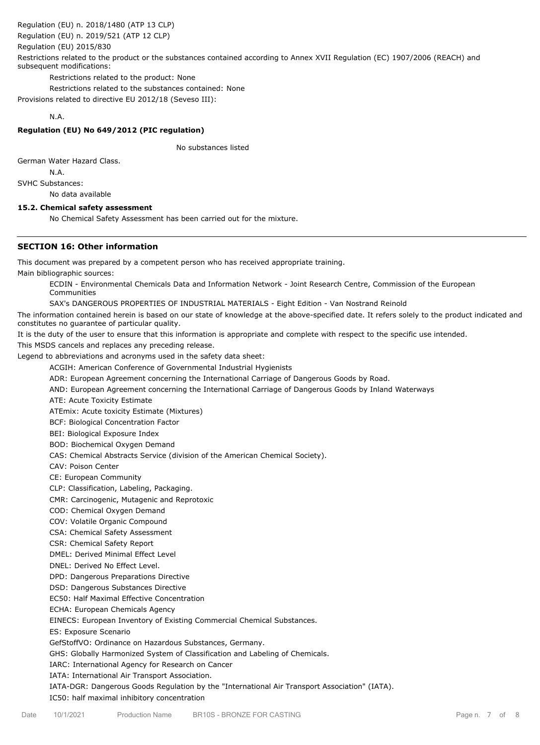Regulation (EU) n. 2018/1480 (ATP 13 CLP)

Regulation (EU) n. 2019/521 (ATP 12 CLP)

Regulation (EU) 2015/830

Restrictions related to the product or the substances contained according to Annex XVII Regulation (EC) 1907/2006 (REACH) and subsequent modifications:

Restrictions related to the product: None

Restrictions related to the substances contained: None

Provisions related to directive EU 2012/18 (Seveso III):

## N.A.

# **Regulation (EU) No 649/2012 (PIC regulation)**

No substances listed

German Water Hazard Class.

N.A.

SVHC Substances:

No data available

# **15.2. Chemical safety assessment**

No Chemical Safety Assessment has been carried out for the mixture.

# **SECTION 16: Other information**

This document was prepared by a competent person who has received appropriate training.

Main bibliographic sources:

ECDIN - Environmental Chemicals Data and Information Network - Joint Research Centre, Commission of the European Communities

SAX's DANGEROUS PROPERTIES OF INDUSTRIAL MATERIALS - Eight Edition - Van Nostrand Reinold

The information contained herein is based on our state of knowledge at the above-specified date. It refers solely to the product indicated and constitutes no guarantee of particular quality.

It is the duty of the user to ensure that this information is appropriate and complete with respect to the specific use intended.

This MSDS cancels and replaces any preceding release.

Legend to abbreviations and acronyms used in the safety data sheet:

ACGIH: American Conference of Governmental Industrial Hygienists

ADR: European Agreement concerning the International Carriage of Dangerous Goods by Road.

AND: European Agreement concerning the International Carriage of Dangerous Goods by Inland Waterways

ATE: Acute Toxicity Estimate

ATEmix: Acute toxicity Estimate (Mixtures)

BCF: Biological Concentration Factor

BEI: Biological Exposure Index

BOD: Biochemical Oxygen Demand

CAS: Chemical Abstracts Service (division of the American Chemical Society).

CAV: Poison Center

CE: European Community

CLP: Classification, Labeling, Packaging.

CMR: Carcinogenic, Mutagenic and Reprotoxic

COD: Chemical Oxygen Demand

COV: Volatile Organic Compound

CSA: Chemical Safety Assessment

CSR: Chemical Safety Report

DMEL: Derived Minimal Effect Level

DNEL: Derived No Effect Level.

DPD: Dangerous Preparations Directive

DSD: Dangerous Substances Directive

EC50: Half Maximal Effective Concentration

ECHA: European Chemicals Agency

EINECS: European Inventory of Existing Commercial Chemical Substances.

ES: Exposure Scenario

GefStoffVO: Ordinance on Hazardous Substances, Germany.

GHS: Globally Harmonized System of Classification and Labeling of Chemicals.

IARC: International Agency for Research on Cancer

IATA: International Air Transport Association.

IATA-DGR: Dangerous Goods Regulation by the "International Air Transport Association" (IATA).

IC50: half maximal inhibitory concentration